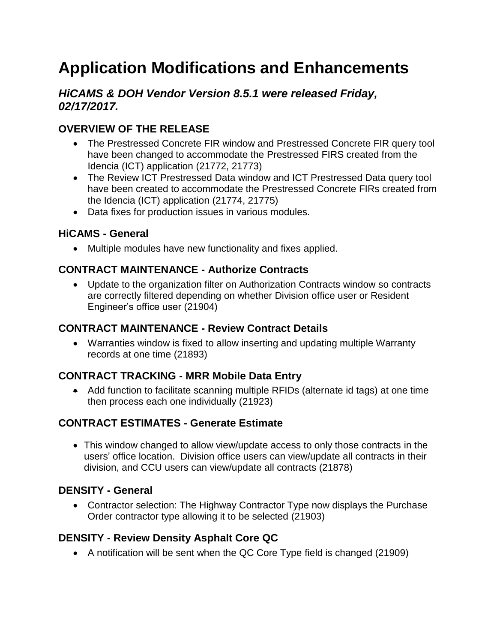# **Application Modifications and Enhancements**

# *HiCAMS & DOH Vendor Version 8.5.1 were released Friday, 02/17/2017.*

# **OVERVIEW OF THE RELEASE**

- The Prestressed Concrete FIR window and Prestressed Concrete FIR query tool have been changed to accommodate the Prestressed FIRS created from the Idencia (ICT) application (21772, 21773)
- The Review ICT Prestressed Data window and ICT Prestressed Data query tool have been created to accommodate the Prestressed Concrete FIRs created from the Idencia (ICT) application (21774, 21775)
- Data fixes for production issues in various modules.

## **HiCAMS - General**

Multiple modules have new functionality and fixes applied.

## **CONTRACT MAINTENANCE - Authorize Contracts**

 Update to the organization filter on Authorization Contracts window so contracts are correctly filtered depending on whether Division office user or Resident Engineer's office user (21904)

#### **CONTRACT MAINTENANCE - Review Contract Details**

 Warranties window is fixed to allow inserting and updating multiple Warranty records at one time (21893)

# **CONTRACT TRACKING - MRR Mobile Data Entry**

 Add function to facilitate scanning multiple RFIDs (alternate id tags) at one time then process each one individually (21923)

# **CONTRACT ESTIMATES - Generate Estimate**

 This window changed to allow view/update access to only those contracts in the users' office location. Division office users can view/update all contracts in their division, and CCU users can view/update all contracts (21878)

#### **DENSITY - General**

• Contractor selection: The Highway Contractor Type now displays the Purchase Order contractor type allowing it to be selected (21903)

#### **DENSITY - Review Density Asphalt Core QC**

A notification will be sent when the QC Core Type field is changed (21909)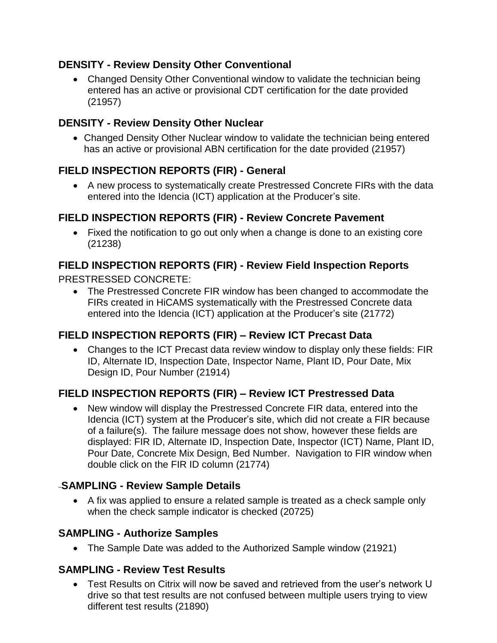### **DENSITY - Review Density Other Conventional**

 Changed Density Other Conventional window to validate the technician being entered has an active or provisional CDT certification for the date provided (21957)

# **DENSITY - Review Density Other Nuclear**

 Changed Density Other Nuclear window to validate the technician being entered has an active or provisional ABN certification for the date provided (21957)

# **FIELD INSPECTION REPORTS (FIR) - General**

 A new process to systematically create Prestressed Concrete FIRs with the data entered into the Idencia (ICT) application at the Producer's site.

#### **FIELD INSPECTION REPORTS (FIR) - Review Concrete Pavement**

 Fixed the notification to go out only when a change is done to an existing core (21238)

# **FIELD INSPECTION REPORTS (FIR) - Review Field Inspection Reports**

PRESTRESSED CONCRETE:

 The Prestressed Concrete FIR window has been changed to accommodate the FIRs created in HiCAMS systematically with the Prestressed Concrete data entered into the Idencia (ICT) application at the Producer's site (21772)

#### **FIELD INSPECTION REPORTS (FIR) – Review ICT Precast Data**

 Changes to the ICT Precast data review window to display only these fields: FIR ID, Alternate ID, Inspection Date, Inspector Name, Plant ID, Pour Date, Mix Design ID, Pour Number (21914)

#### **FIELD INSPECTION REPORTS (FIR) – Review ICT Prestressed Data**

 New window will display the Prestressed Concrete FIR data, entered into the Idencia (ICT) system at the Producer's site, which did not create a FIR because of a failure(s). The failure message does not show, however these fields are displayed: FIR ID, Alternate ID, Inspection Date, Inspector (ICT) Name, Plant ID, Pour Date, Concrete Mix Design, Bed Number. Navigation to FIR window when double click on the FIR ID column (21774)

#### **SAMPLING - Review Sample Details**

 A fix was applied to ensure a related sample is treated as a check sample only when the check sample indicator is checked (20725)

#### **SAMPLING - Authorize Samples**

The Sample Date was added to the Authorized Sample window (21921)

#### **SAMPLING - Review Test Results**

 Test Results on Citrix will now be saved and retrieved from the user's network U drive so that test results are not confused between multiple users trying to view different test results (21890)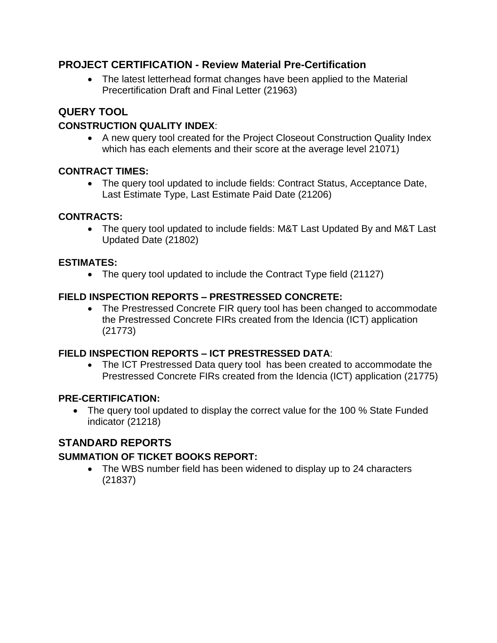#### **PROJECT CERTIFICATION - Review Material Pre-Certification**

 The latest letterhead format changes have been applied to the Material Precertification Draft and Final Letter (21963)

#### **QUERY TOOL**

#### **CONSTRUCTION QUALITY INDEX**:

 A new query tool created for the Project Closeout Construction Quality Index which has each elements and their score at the average level 21071)

#### **CONTRACT TIMES:**

 The query tool updated to include fields: Contract Status, Acceptance Date, Last Estimate Type, Last Estimate Paid Date (21206)

#### **CONTRACTS:**

• The query tool updated to include fields: M&T Last Updated By and M&T Last Updated Date (21802)

#### **ESTIMATES:**

• The query tool updated to include the Contract Type field (21127)

#### **FIELD INSPECTION REPORTS – PRESTRESSED CONCRETE:**

• The Prestressed Concrete FIR query tool has been changed to accommodate the Prestressed Concrete FIRs created from the Idencia (ICT) application (21773)

#### **FIELD INSPECTION REPORTS – ICT PRESTRESSED DATA**:

 The ICT Prestressed Data query tool has been created to accommodate the Prestressed Concrete FIRs created from the Idencia (ICT) application (21775)

#### **PRE-CERTIFICATION:**

• The query tool updated to display the correct value for the 100 % State Funded indicator (21218)

#### **STANDARD REPORTS**

#### **SUMMATION OF TICKET BOOKS REPORT:**

• The WBS number field has been widened to display up to 24 characters (21837)